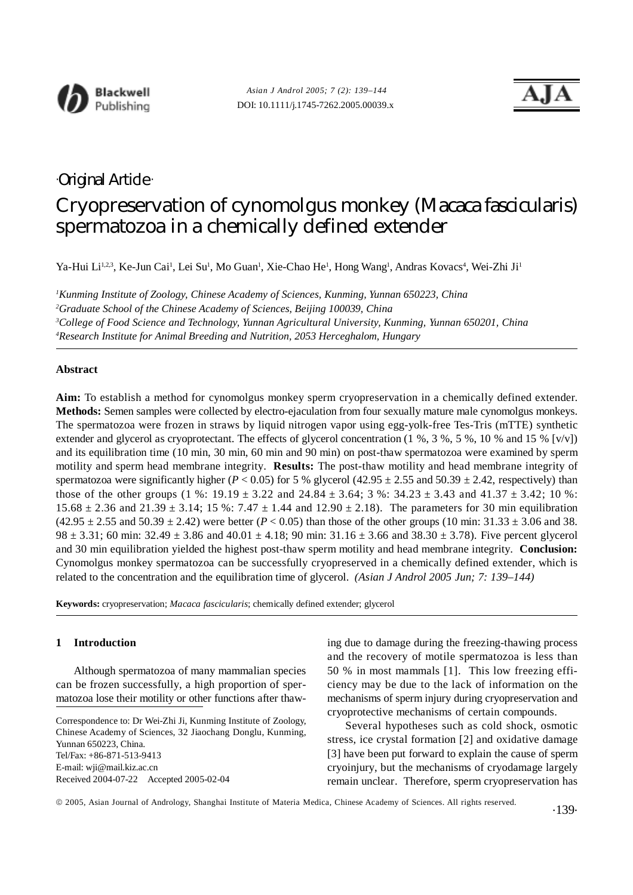

*Asian J Androl 2005; 7 (2): 139–144* DOI: 10.1111/j.1745-7262.2005.00039.x

# *. Original Article .*

# Cryopreservation of cynomolgus monkey (*Macaca fascicularis*) spermatozoa in a chemically defined extender

Ya-Hui Li<sup>1,2,3</sup>, Ke-Jun Cai<sup>1</sup>, Lei Su<sup>1</sup>, Mo Guan<sup>1</sup>, Xie-Chao He<sup>1</sup>, Hong Wang<sup>1</sup>, Andras Kovacs<sup>4</sup>, Wei-Zhi Ji<sup>1</sup>

 *Kunming Institute of Zoology, Chinese Academy of Sciences, Kunming, Yunnan 650223, China Graduate School of the Chinese Academy of Sciences, Beijing 100039, China College of Food Science and Technology, Yunnan Agricultural University, Kunming, Yunnan 650201, China Research Institute for Animal Breeding and Nutrition, 2053 Herceghalom, Hungary*

# **Abstract**

**Aim:** To establish a method for cynomolgus monkey sperm cryopreservation in a chemically defined extender. **Methods:** Semen samples were collected by electro-ejaculation from four sexually mature male cynomolgus monkeys. The spermatozoa were frozen in straws by liquid nitrogen vapor using egg-yolk-free Tes-Tris (mTTE) synthetic extender and glycerol as cryoprotectant. The effects of glycerol concentration (1 %, 3 %, 5 %, 10 % and 15 % [v/v]) and its equilibration time (10 min, 30 min, 60 min and 90 min) on post-thaw spermatozoa were examined by sperm motility and sperm head membrane integrity. **Results:** The post-thaw motility and head membrane integrity of spermatozoa were significantly higher ( $P < 0.05$ ) for 5 % glycerol (42.95  $\pm$  2.55 and 50.39  $\pm$  2.42, respectively) than those of the other groups (1 %: 19.19  $\pm$  3.22 and 24.84  $\pm$  3.64; 3 %: 34.23  $\pm$  3.43 and 41.37  $\pm$  3.42; 10 %: 15.68  $\pm$  2.36 and 21.39  $\pm$  3.14; 15 %: 7.47  $\pm$  1.44 and 12.90  $\pm$  2.18). The parameters for 30 min equilibration  $(42.95 \pm 2.55 \text{ and } 50.39 \pm 2.42)$  were better  $(P < 0.05)$  than those of the other groups  $(10 \text{ min: } 31.33 \pm 3.06 \text{ and } 38.$  $98 \pm 3.31$ ; 60 min:  $32.49 \pm 3.86$  and  $40.01 \pm 4.18$ ; 90 min:  $31.16 \pm 3.66$  and  $38.30 \pm 3.78$ ). Five percent glycerol and 30 min equilibration yielded the highest post-thaw sperm motility and head membrane integrity. **Conclusion:** Cynomolgus monkey spermatozoa can be successfully cryopreserved in a chemically defined extender, which is related to the concentration and the equilibration time of glycerol. *(Asian J Androl 2005 Jun; 7: 139–144)*

**Keywords:** cryopreservation; *Macaca fascicularis*; chemically defined extender; glycerol

# **1 Introduction**

Although spermatozoa of many mammalian species can be frozen successfully, a high proportion of spermatozoa lose their motility or other functions after thaw-

Correspondence to: Dr Wei-Zhi Ji, Kunming Institute of Zoology, Chinese Academy of Sciences, 32 Jiaochang Donglu, Kunming, Yunnan 650223, China. Tel/Fax: +86-871-513-9413 E-mail: wji@mail.kiz.ac.cn Received 2004-07-22 Accepted 2005-02-04

ing due to damage during the freezing-thawing process and the recovery of motile spermatozoa is less than 50 % in most mammals [1]. This low freezing efficiency may be due to the lack of information on the mechanisms of sperm injury during cryopreservation and cryoprotective mechanisms of certain compounds.

Several hypotheses such as cold shock, osmotic stress, ice crystal formation [2] and oxidative damage [3] have been put forward to explain the cause of sperm cryoinjury, but the mechanisms of cryodamage largely remain unclear. Therefore, sperm cryopreservation has

2005, Asian Journal of Andrology, Shanghai Institute of Materia Medica, Chinese Academy of Sciences. All rights reserved.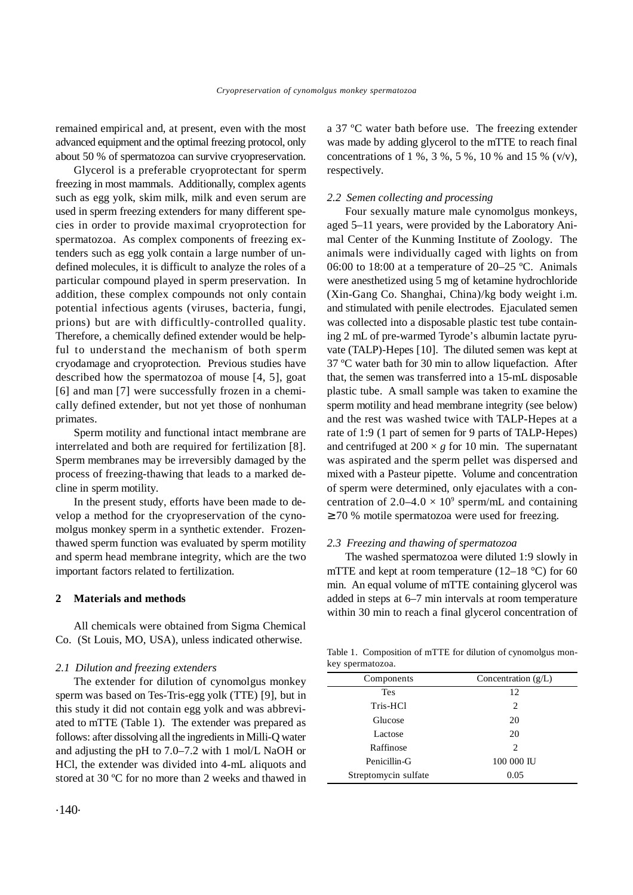remained empirical and, at present, even with the most advanced equipment and the optimal freezing protocol, only about 50 % of spermatozoa can survive cryopreservation.

Glycerol is a preferable cryoprotectant for sperm freezing in most mammals. Additionally, complex agents such as egg yolk, skim milk, milk and even serum are used in sperm freezing extenders for many different species in order to provide maximal cryoprotection for spermatozoa. As complex components of freezing extenders such as egg yolk contain a large number of undefined molecules, it is difficult to analyze the roles of a particular compound played in sperm preservation. In addition, these complex compounds not only contain potential infectious agents (viruses, bacteria, fungi, prions) but are with difficultly-controlled quality. Therefore, a chemically defined extender would be helpful to understand the mechanism of both sperm cryodamage and cryoprotection. Previous studies have described how the spermatozoa of mouse [4, 5], goat [6] and man [7] were successfully frozen in a chemically defined extender, but not yet those of nonhuman primates.

Sperm motility and functional intact membrane are interrelated and both are required for fertilization [8]. Sperm membranes may be irreversibly damaged by the process of freezing-thawing that leads to a marked decline in sperm motility.

In the present study, efforts have been made to develop a method for the cryopreservation of the cynomolgus monkey sperm in a synthetic extender. Frozenthawed sperm function was evaluated by sperm motility and sperm head membrane integrity, which are the two important factors related to fertilization.

# **2 Materials and methods**

All chemicals were obtained from Sigma Chemical Co. (St Louis, MO, USA), unless indicated otherwise.

#### *2.1 Dilution and freezing extenders*

The extender for dilution of cynomolgus monkey sperm was based on Tes-Tris-egg yolk (TTE) [9], but in this study it did not contain egg yolk and was abbreviated to mTTE (Table 1). The extender was prepared as follows: after dissolving all the ingredients in Milli-Q water and adjusting the pH to 7.0–7.2 with 1 mol/L NaOH or HCl, the extender was divided into 4-mL aliquots and stored at 30 ºC for no more than 2 weeks and thawed in

a 37 ºC water bath before use. The freezing extender was made by adding glycerol to the mTTE to reach final concentrations of 1 %, 3 %, 5 %, 10 % and 15 %  $(v/v)$ , respectively.

#### *2.2 Semen collecting and processing*

Four sexually mature male cynomolgus monkeys, aged 5–11 years, were provided by the Laboratory Animal Center of the Kunming Institute of Zoology. The animals were individually caged with lights on from 06:00 to 18:00 at a temperature of 20–25 ºC. Animals were anesthetized using 5 mg of ketamine hydrochloride (Xin-Gang Co. Shanghai, China)/kg body weight i.m. and stimulated with penile electrodes. Ejaculated semen was collected into a disposable plastic test tube containing 2 mL of pre-warmed Tyrode's albumin lactate pyruvate (TALP)-Hepes [10]. The diluted semen was kept at 37 ºC water bath for 30 min to allow liquefaction. After that, the semen was transferred into a 15-mL disposable plastic tube. A small sample was taken to examine the sperm motility and head membrane integrity (see below) and the rest was washed twice with TALP-Hepes at a rate of 1:9 (1 part of semen for 9 parts of TALP-Hepes) and centrifuged at  $200 \times g$  for 10 min. The supernatant was aspirated and the sperm pellet was dispersed and mixed with a Pasteur pipette. Volume and concentration of sperm were determined, only ejaculates with a concentration of  $2.0-4.0 \times 10^9$  sperm/mL and containing ≥ 70 % motile spermatozoa were used for freezing.

# *2.3 Freezing and thawing of spermatozoa*

The washed spermatozoa were diluted 1:9 slowly in mTTE and kept at room temperature (12–18  $^{\circ}$ C) for 60 min. An equal volume of mTTE containing glycerol was added in steps at 6–7 min intervals at room temperature within 30 min to reach a final glycerol concentration of

Table 1. Composition of mTTE for dilution of cynomolgus monkey spermatozoa.

| Components           | Concentration $(g/L)$ |
|----------------------|-----------------------|
| <b>Tes</b>           | 12                    |
| Tris-HCl             | 2                     |
| Glucose              | 20                    |
| Lactose              | 20                    |
| Raffinose            | 2                     |
| Penicillin-G         | 100 000 IU            |
| Streptomycin sulfate | 0.05                  |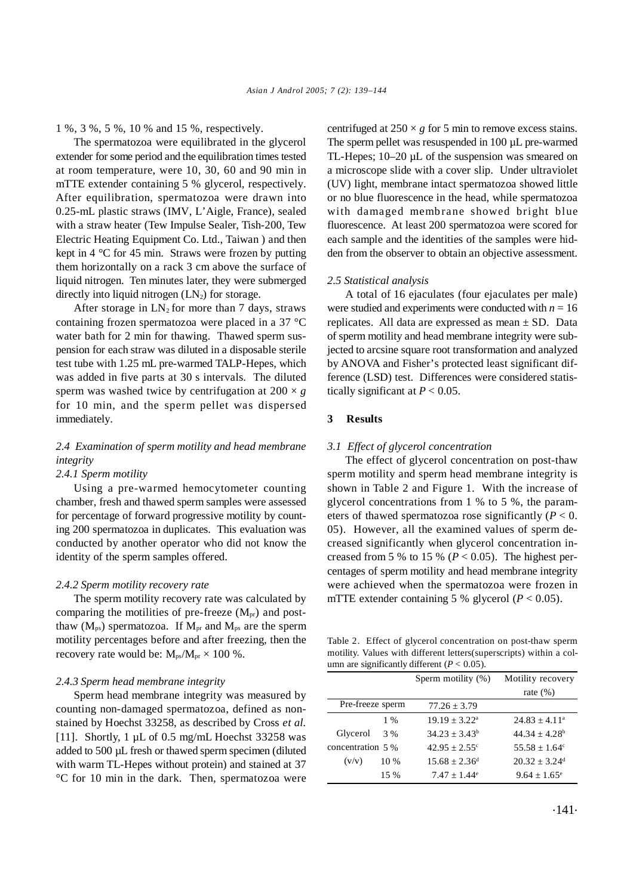1 %, 3 %, 5 %, 10 % and 15 %, respectively.

The spermatozoa were equilibrated in the glycerol extender for some period and the equilibration times tested at room temperature, were 10, 30, 60 and 90 min in mTTE extender containing 5 % glycerol, respectively. After equilibration, spermatozoa were drawn into 0.25-mL plastic straws (IMV, L'Aigle, France), sealed with a straw heater (Tew Impulse Sealer, Tish-200, Tew Electric Heating Equipment Co. Ltd., Taiwan ) and then kept in 4 °C for 45 min. Straws were frozen by putting them horizontally on a rack 3 cm above the surface of liquid nitrogen. Ten minutes later, they were submerged directly into liquid nitrogen  $(LN_2)$  for storage.

After storage in  $LN_2$  for more than 7 days, straws containing frozen spermatozoa were placed in a 37 °C water bath for 2 min for thawing. Thawed sperm suspension for each straw was diluted in a disposable sterile test tube with 1.25 mL pre-warmed TALP-Hepes, which was added in five parts at 30 s intervals. The diluted sperm was washed twice by centrifugation at  $200 \times g$ for 10 min, and the sperm pellet was dispersed immediately.

# *2.4 Examination of sperm motility and head membrane integrity*

#### *2.4.1 Sperm motility*

Using a pre-warmed hemocytometer counting chamber, fresh and thawed sperm samples were assessed for percentage of forward progressive motility by counting 200 spermatozoa in duplicates. This evaluation was conducted by another operator who did not know the identity of the sperm samples offered.

#### *2.4.2 Sperm motility recovery rate*

The sperm motility recovery rate was calculated by comparing the motilities of pre-freeze  $(M_{pr})$  and postthaw  $(M_{ps})$  spermatozoa. If  $M_{pr}$  and  $M_{ps}$  are the sperm motility percentages before and after freezing, then the recovery rate would be:  $M_{ps}/M_{pr} \times 100\%$ .

#### *2.4.3 Sperm head membrane integrity*

Sperm head membrane integrity was measured by counting non-damaged spermatozoa, defined as nonstained by Hoechst 33258, as described by Cross *et al.* [11]. Shortly,  $1 \mu L$  of 0.5 mg/mL Hoechst 33258 was added to 500 µL fresh or thawed sperm specimen (diluted with warm TL-Hepes without protein) and stained at 37 °C for 10 min in the dark. Then, spermatozoa were

centrifuged at  $250 \times g$  for 5 min to remove excess stains. The sperm pellet was resuspended in 100 µL pre-warmed TL-Hepes; 10–20 µL of the suspension was smeared on a microscope slide with a cover slip. Under ultraviolet (UV) light, membrane intact spermatozoa showed little or no blue fluorescence in the head, while spermatozoa with damaged membrane showed bright blue fluorescence. At least 200 spermatozoa were scored for each sample and the identities of the samples were hidden from the observer to obtain an objective assessment.

#### *2.5 Statistical analysis*

A total of 16 ejaculates (four ejaculates per male) were studied and experiments were conducted with  $n = 16$ replicates. All data are expressed as mean  $\pm$  SD. Data of sperm motility and head membrane integrity were subjected to arcsine square root transformation and analyzed by ANOVA and Fisher's protected least significant difference (LSD) test. Differences were considered statistically significant at  $P < 0.05$ .

# **3 Results**

#### *3.1 Effect of glycerol concentration*

The effect of glycerol concentration on post-thaw sperm motility and sperm head membrane integrity is shown in Table 2 and Figure 1. With the increase of glycerol concentrations from 1 % to 5 %, the parameters of thawed spermatozoa rose significantly  $(P < 0$ . 05). However, all the examined values of sperm decreased significantly when glycerol concentration increased from 5 % to 15 %  $(P < 0.05)$ . The highest percentages of sperm motility and head membrane integrity were achieved when the spermatozoa were frozen in mTTE extender containing 5 % glycerol  $(P < 0.05)$ .

Table 2. Effect of glycerol concentration on post-thaw sperm motility. Values with different letters(superscripts) within a column are significantly different  $(P < 0.05)$ .

|                   | Sperm motility (%)          | Motility recovery           |
|-------------------|-----------------------------|-----------------------------|
|                   |                             | rate $(\%)$                 |
| Pre-freeze sperm  | $77.26 \pm 3.79$            |                             |
| $1\%$             | $19.19 + 3.22^a$            | $24.83 + 4.11^a$            |
| Glycerol<br>3 %   | $34.23 + 3.43^b$            | $44.34 + 4.28^b$            |
| concentration 5 % | $42.95 + 2.55$ <sup>c</sup> | $55.58 + 1.64^{\circ}$      |
| (v/v)<br>$10\%$   | $15.68 + 2.36^d$            | $20.32 + 3.24$ <sup>d</sup> |
| 15 %              | $7.47 + 1.44^e$             | $9.64 \pm 1.65^{\circ}$     |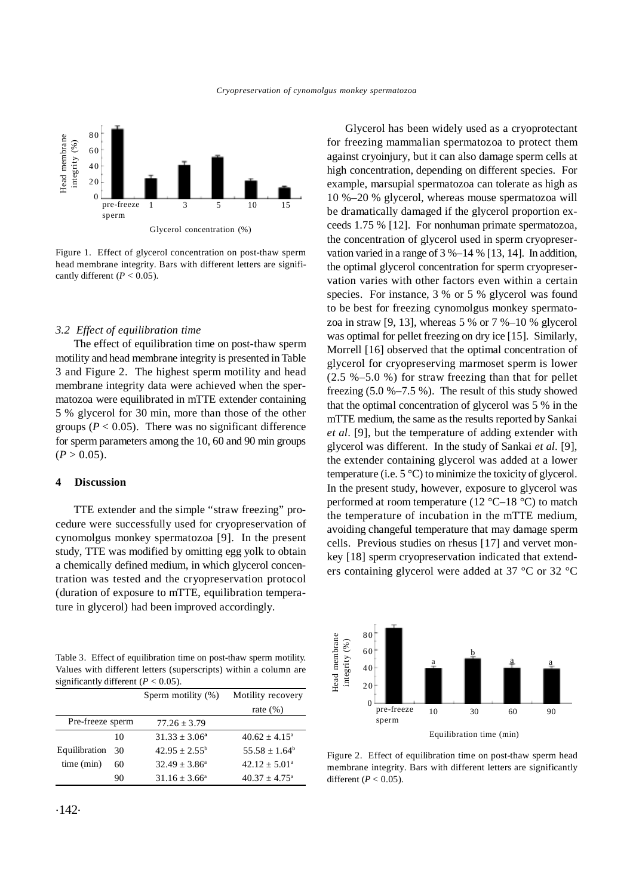

Figure 1. Effect of glycerol concentration on post-thaw sperm head membrane integrity. Bars with different letters are significantly different ( $P < 0.05$ ).

#### *3.2 Effect of equilibration time*

The effect of equilibration time on post-thaw sperm motility and head membrane integrity is presented in Table 3 and Figure 2. The highest sperm motility and head membrane integrity data were achieved when the spermatozoa were equilibrated in mTTE extender containing 5 % glycerol for 30 min, more than those of the other groups ( $P < 0.05$ ). There was no significant difference for sperm parameters among the 10, 60 and 90 min groups  $(P > 0.05)$ .

### **4 Discussion**

TTE extender and the simple "straw freezing" procedure were successfully used for cryopreservation of cynomolgus monkey spermatozoa [9]. In the present study, TTE was modified by omitting egg yolk to obtain a chemically defined medium, in which glycerol concentration was tested and the cryopreservation protocol (duration of exposure to mTTE, equilibration temperature in glycerol) had been improved accordingly.

Table 3. Effect of equilibration time on post-thaw sperm motility. Values with different letters (superscripts) within a column are significantly different (*P* < 0.05).

|                  |    | Sperm motility $(\%)$    | Motility recovery           |
|------------------|----|--------------------------|-----------------------------|
|                  |    |                          | rate $(\%)$                 |
| Pre-freeze sperm |    | $77.26 \pm 3.79$         |                             |
|                  | 10 | $31.33 + 3.06^a$         | $40.62 + 4.15^{\circ}$      |
| Equilibration    | 30 | $42.95 + 2.55^{\circ}$   | $55.58 + 1.64^b$            |
| time (min)       | 60 | $32.49 + 3.86^a$         | $42.12 + 5.01^a$            |
|                  | 90 | $31.16 \pm 3.66^{\circ}$ | $40.37 + 4.75$ <sup>a</sup> |

Glycerol has been widely used as a cryoprotectant for freezing mammalian spermatozoa to protect them against cryoinjury, but it can also damage sperm cells at high concentration, depending on different species. For example, marsupial spermatozoa can tolerate as high as 10 %–20 % glycerol, whereas mouse spermatozoa will be dramatically damaged if the glycerol proportion exceeds 1.75 % [12]. For nonhuman primate spermatozoa, the concentration of glycerol used in sperm cryopreservation varied in a range of 3 %–14 % [13, 14]. In addition, the optimal glycerol concentration for sperm cryopreservation varies with other factors even within a certain species. For instance, 3 % or 5 % glycerol was found to be best for freezing cynomolgus monkey spermatozoa in straw [9, 13], whereas  $5\%$  or  $7\%$ -10 % glycerol was optimal for pellet freezing on dry ice [15]. Similarly, Morrell [16] observed that the optimal concentration of glycerol for cryopreserving marmoset sperm is lower (2.5 %–5.0 %) for straw freezing than that for pellet freezing  $(5.0 \text{ %} -7.5 \text{ %})$ . The result of this study showed that the optimal concentration of glycerol was 5 % in the mTTE medium, the same as the results reported by Sankai *et al*. [9], but the temperature of adding extender with glycerol was different. In the study of Sankai *et al*. [9], the extender containing glycerol was added at a lower temperature (i.e.  $5^{\circ}$ C) to minimize the toxicity of glycerol. In the present study, however, exposure to glycerol was performed at room temperature (12  $^{\circ}$ C–18  $^{\circ}$ C) to match the temperature of incubation in the mTTE medium, avoiding changeful temperature that may damage sperm cells. Previous studies on rhesus [17] and vervet monkey [18] sperm cryopreservation indicated that extenders containing glycerol were added at 37 °C or 32 °C



Figure 2. Effect of equilibration time on post-thaw sperm head membrane integrity. Bars with different letters are significantly different (*P* < 0.05).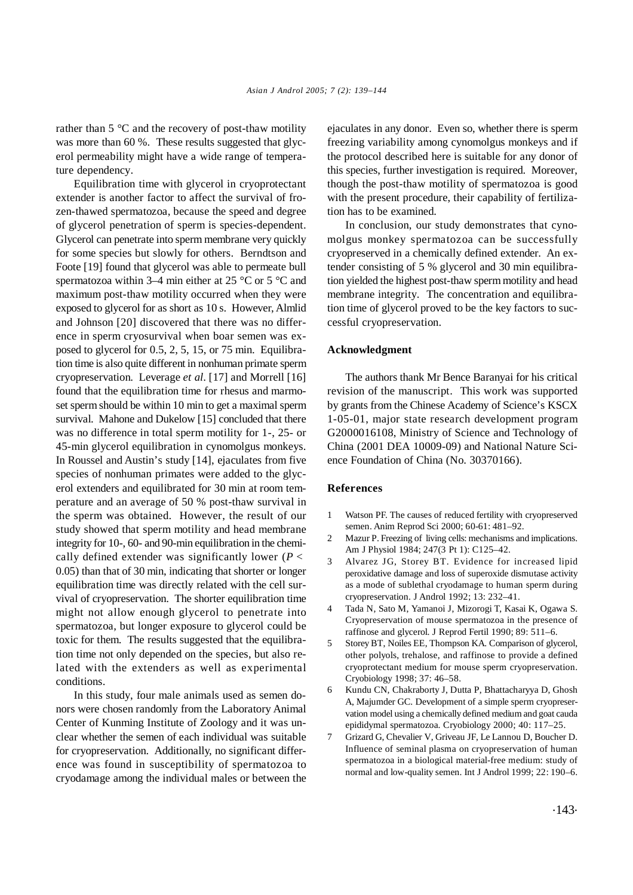rather than  $5^{\circ}$ C and the recovery of post-thaw motility was more than 60 %. These results suggested that glycerol permeability might have a wide range of temperature dependency.

Equilibration time with glycerol in cryoprotectant extender is another factor to affect the survival of frozen-thawed spermatozoa, because the speed and degree of glycerol penetration of sperm is species-dependent. Glycerol can penetrate into sperm membrane very quickly for some species but slowly for others. Berndtson and Foote [19] found that glycerol was able to permeate bull spermatozoa within 3–4 min either at 25  $\degree$ C or 5  $\degree$ C and maximum post-thaw motility occurred when they were exposed to glycerol for as short as 10 s. However, Almlid and Johnson [20] discovered that there was no difference in sperm cryosurvival when boar semen was exposed to glycerol for 0.5, 2, 5, 15, or 75 min. Equilibration time is also quite different in nonhuman primate sperm cryopreservation. Leverage *et al*. [17] and Morrell [16] found that the equilibration time for rhesus and marmoset sperm should be within 10 min to get a maximal sperm survival. Mahone and Dukelow [15] concluded that there was no difference in total sperm motility for 1-, 25- or 45-min glycerol equilibration in cynomolgus monkeys. In Roussel and Austin's study [14], ejaculates from five species of nonhuman primates were added to the glycerol extenders and equilibrated for 30 min at room temperature and an average of 50 % post-thaw survival in the sperm was obtained. However, the result of our study showed that sperm motility and head membrane integrity for 10-, 60- and 90-min equilibration in the chemically defined extender was significantly lower (*P* < 0.05) than that of 30 min, indicating that shorter or longer equilibration time was directly related with the cell survival of cryopreservation. The shorter equilibration time might not allow enough glycerol to penetrate into spermatozoa, but longer exposure to glycerol could be toxic for them. The results suggested that the equilibration time not only depended on the species, but also related with the extenders as well as experimental conditions.

In this study, four male animals used as semen donors were chosen randomly from the Laboratory Animal Center of Kunming Institute of Zoology and it was unclear whether the semen of each individual was suitable for cryopreservation. Additionally, no significant difference was found in susceptibility of spermatozoa to cryodamage among the individual males or between the

ejaculates in any donor. Even so, whether there is sperm freezing variability among cynomolgus monkeys and if the protocol described here is suitable for any donor of this species, further investigation is required. Moreover, though the post-thaw motility of spermatozoa is good with the present procedure, their capability of fertilization has to be examined.

In conclusion, our study demonstrates that cynomolgus monkey spermatozoa can be successfully cryopreserved in a chemically defined extender. An extender consisting of 5 % glycerol and 30 min equilibration yielded the highest post-thaw sperm motility and head membrane integrity. The concentration and equilibration time of glycerol proved to be the key factors to successful cryopreservation.

#### **Acknowledgment**

The authors thank Mr Bence Baranyai for his critical revision of the manuscript. This work was supported by grants from the Chinese Academy of Science's KSCX 1-05-01, major state research development program G2000016108, Ministry of Science and Technology of China (2001 DEA 10009-09) and National Nature Science Foundation of China (No. 30370166).

#### **References**

- 1 Watson PF. The causes of reduced fertility with cryopreserved semen. Anim Reprod Sci 2000; 60-61: 481–92.
- 2 Mazur P. Freezing of living cells: mechanisms and implications. Am J Physiol 1984; 247(3 Pt 1): C125–42.
- 3 Alvarez JG, Storey BT. Evidence for increased lipid peroxidative damage and loss of superoxide dismutase activity as a mode of sublethal cryodamage to human sperm during cryopreservation. J Androl 1992; 13: 232–41.
- 4 Tada N, Sato M, Yamanoi J, Mizorogi T, Kasai K, Ogawa S. Cryopreservation of mouse spermatozoa in the presence of raffinose and glycerol. J Reprod Fertil 1990; 89: 511–6.
- 5 Storey BT, Noiles EE, Thompson KA. Comparison of glycerol, other polyols, trehalose, and raffinose to provide a defined cryoprotectant medium for mouse sperm cryopreservation. Cryobiology 1998; 37: 46–58.
- 6 Kundu CN, Chakraborty J, Dutta P, Bhattacharyya D, Ghosh A, Majumder GC. Development of a simple sperm cryopreservation model using a chemically defined medium and goat cauda epididymal spermatozoa. Cryobiology 2000; 40: 117–25.
- 7 Grizard G, Chevalier V, Griveau JF, Le Lannou D, Boucher D. Influence of seminal plasma on cryopreservation of human spermatozoa in a biological material-free medium: study of normal and low-quality semen. Int J Androl 1999; 22: 190–6.